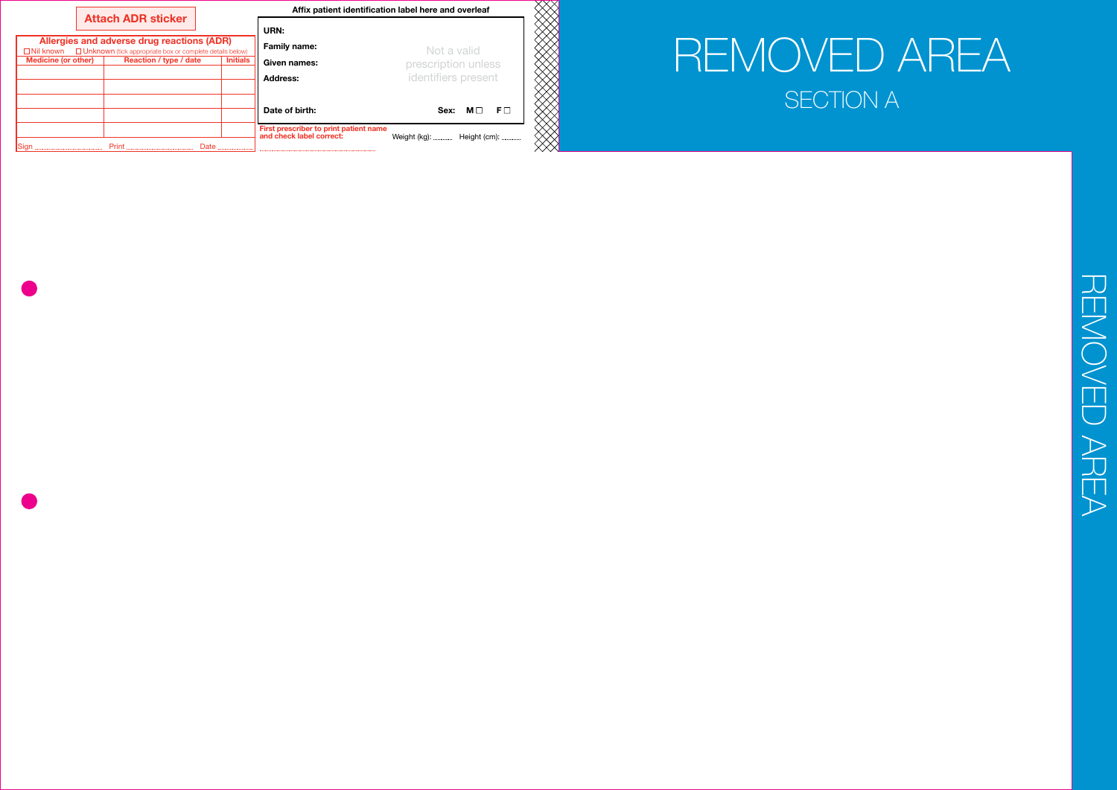|                            | <b>Attach ADR sticker</b>                                                                                                      |                 |                                                                    | Affix patient identification label here and overleaf |
|----------------------------|--------------------------------------------------------------------------------------------------------------------------------|-----------------|--------------------------------------------------------------------|------------------------------------------------------|
|                            | Allergies and adverse drug reactions (ADR)<br>$\Box$ Nil known $\Box$ Unknown (tick appropriate box or complete details below) |                 | URN:<br><b>Family name:</b>                                        | Not a valid                                          |
| <b>Medicine (or other)</b> | Reaction / type / date                                                                                                         | <b>Initials</b> | Given names:                                                       | prescription unless                                  |
|                            |                                                                                                                                |                 | <b>Address:</b>                                                    | identifiers present                                  |
|                            |                                                                                                                                |                 | Date of birth:                                                     | $F\Box$<br>Sex:<br>ML                                |
|                            |                                                                                                                                |                 | First prescriber to print patient name<br>and check label correct: | Weight (kg):  Height (cm):                           |
|                            | Print                                                                                                                          | Date            |                                                                    |                                                      |

**REMOVED AREA** REMOVED AREA

# REMOVED AREA SECTION A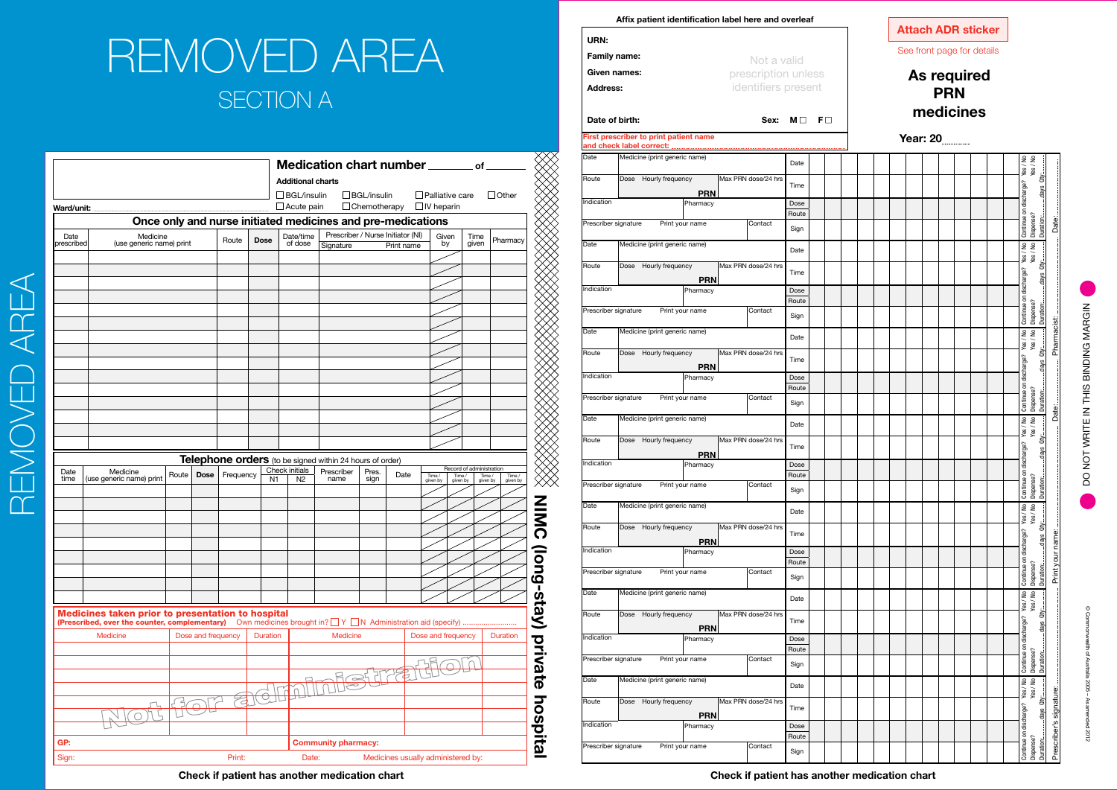|              |                                                   |       |                    |                          |             |                     | <b>Additional charts</b>         | Medication chart number ______                              |                     |                                   |                        |                          | .of                |                   |
|--------------|---------------------------------------------------|-------|--------------------|--------------------------|-------------|---------------------|----------------------------------|-------------------------------------------------------------|---------------------|-----------------------------------|------------------------|--------------------------|--------------------|-------------------|
|              |                                                   |       |                    |                          |             |                     | $\Box$ BGL/insulin               |                                                             | $\Box$ BGL/insulin  |                                   | $\Box$ Palliative care |                          |                    | $\Box$ Other      |
| Ward/unit:   |                                                   |       |                    |                          |             |                     | $\Box$ Acute pain                |                                                             | $\Box$ Chemotherapy |                                   | $\Box$ IV heparin      |                          |                    |                   |
|              |                                                   |       |                    |                          |             |                     |                                  | Once only and nurse initiated medicines and pre-medications |                     |                                   |                        |                          |                    |                   |
| Date         | Medicine                                          |       |                    | Route                    | <b>Dose</b> |                     | Date/time                        |                                                             |                     | Prescriber / Nurse Initiator (NI) | Given                  |                          | Time               | Pharmacy          |
| prescribed   | (use generic name) print                          |       |                    |                          |             |                     | of dose                          | Signature                                                   |                     | Print name                        | by                     |                          | given              |                   |
|              |                                                   |       |                    |                          |             |                     |                                  |                                                             |                     |                                   |                        |                          |                    |                   |
|              |                                                   |       |                    |                          |             |                     |                                  |                                                             |                     |                                   |                        |                          |                    |                   |
|              |                                                   |       |                    |                          |             |                     |                                  |                                                             |                     |                                   |                        |                          |                    |                   |
|              |                                                   |       |                    |                          |             |                     |                                  |                                                             |                     |                                   |                        |                          |                    |                   |
|              |                                                   |       |                    |                          |             |                     |                                  |                                                             |                     |                                   |                        |                          |                    |                   |
|              |                                                   |       |                    |                          |             |                     |                                  |                                                             |                     |                                   |                        |                          |                    |                   |
|              |                                                   |       |                    |                          |             |                     |                                  |                                                             |                     |                                   |                        |                          |                    |                   |
|              |                                                   |       |                    |                          |             |                     |                                  |                                                             |                     |                                   |                        |                          |                    |                   |
|              |                                                   |       |                    |                          |             |                     |                                  |                                                             |                     |                                   |                        |                          |                    |                   |
|              |                                                   |       |                    |                          |             |                     |                                  |                                                             |                     |                                   |                        |                          |                    |                   |
|              |                                                   |       |                    |                          |             |                     |                                  |                                                             |                     |                                   |                        |                          |                    |                   |
|              |                                                   |       |                    |                          |             |                     |                                  |                                                             |                     |                                   |                        |                          |                    |                   |
|              |                                                   |       |                    |                          |             |                     |                                  |                                                             |                     |                                   |                        |                          |                    |                   |
|              |                                                   |       |                    |                          |             |                     |                                  |                                                             |                     |                                   |                        |                          |                    |                   |
|              |                                                   |       |                    |                          |             |                     |                                  | Telephone orders (to be signed within 24 hours of order)    |                     |                                   |                        | Record of administration |                    |                   |
| Date<br>time | Medicine<br>(use generic name) print              | Route | <b>Dose</b>        | Frequency                |             | N <sub>1</sub>      | Check initials<br>N <sub>2</sub> | Prescriber<br>name                                          | Pres.<br>sign       | Date                              | Time /<br>given by     | Time /<br>given by       | Time /<br>given by | Time/<br>given by |
|              |                                                   |       |                    |                          |             |                     |                                  |                                                             |                     |                                   |                        |                          |                    |                   |
|              |                                                   |       |                    |                          |             |                     |                                  |                                                             |                     |                                   |                        |                          |                    |                   |
|              |                                                   |       |                    |                          |             |                     |                                  |                                                             |                     |                                   |                        |                          |                    |                   |
|              |                                                   |       |                    |                          |             |                     |                                  |                                                             |                     |                                   |                        |                          |                    |                   |
|              |                                                   |       |                    |                          |             |                     |                                  |                                                             |                     |                                   |                        |                          |                    |                   |
|              |                                                   |       |                    |                          |             |                     |                                  |                                                             |                     |                                   |                        |                          |                    |                   |
|              |                                                   |       |                    |                          |             |                     |                                  |                                                             |                     |                                   |                        |                          |                    |                   |
|              |                                                   |       |                    |                          |             |                     |                                  |                                                             |                     |                                   |                        |                          |                    |                   |
|              | Medicines taken prior to presentation to hospital |       |                    |                          |             |                     |                                  |                                                             |                     |                                   |                        |                          |                    |                   |
|              | (Prescribed, over the counter, complementary)     |       |                    |                          |             |                     |                                  |                                                             |                     |                                   |                        |                          |                    |                   |
|              | Medicine                                          |       | Dose and frequency |                          | Duration    |                     |                                  | Medicine                                                    |                     |                                   | Dose and frequency     |                          |                    | <b>Duration</b>   |
|              |                                                   |       |                    |                          |             |                     |                                  |                                                             |                     |                                   |                        |                          |                    |                   |
|              |                                                   |       |                    |                          |             |                     |                                  |                                                             |                     |                                   |                        |                          |                    |                   |
|              |                                                   |       |                    |                          |             |                     |                                  |                                                             | <b>ISSETTE</b>      |                                   |                        |                          |                    |                   |
|              |                                                   |       |                    | $\overline{\mathcal{L}}$ | $\Theta$    | $\overline{\Omega}$ |                                  |                                                             |                     |                                   |                        |                          |                    |                   |
|              |                                                   |       |                    |                          |             |                     |                                  |                                                             |                     |                                   |                        |                          |                    |                   |
|              |                                                   |       |                    |                          |             |                     |                                  |                                                             |                     |                                   |                        |                          |                    |                   |
|              |                                                   |       |                    |                          |             |                     |                                  |                                                             |                     |                                   |                        |                          |                    |                   |
| GP:          |                                                   |       |                    |                          |             |                     |                                  | <b>Community pharmacy:</b>                                  |                     |                                   |                        |                          |                    |                   |

Sign: Sign: Print: Print: Date: Medicines usually administered by:

© Commonwealth of Australia 2005 – As amended 2012

| URN:                |                     |
|---------------------|---------------------|
| <b>Family name:</b> | Not a valid         |
| Given names:        | prescription unless |
| Address:            | identifiers present |
|                     |                     |

|  | Date of bir |  |  |
|--|-------------|--|--|
|--|-------------|--|--|

**Date: Date: Contract between Sex: M** □ F □

### **First prescriber to print patient name**

| Date                 | Medicine (print generic name) |                 |                     | Date          |  |
|----------------------|-------------------------------|-----------------|---------------------|---------------|--|
| Route                | Hourly frequency<br>Dose      | <b>PRN</b>      | Max PRN dose/24 hrs | Time          |  |
| Indication           |                               | Pharmacy        |                     | Dose          |  |
| Prescriber signature |                               | Print your name | Contact             | Route<br>Sign |  |
| Date                 | Medicine (print generic name) |                 |                     | Date          |  |
| Route                | Hourly frequency<br>Dose      |                 | Max PRN dose/24 hrs |               |  |
|                      |                               | <b>PRN</b>      |                     | Time          |  |
| Indication           |                               | Pharmacy        |                     | Dose          |  |
|                      |                               |                 |                     | Route         |  |
| Prescriber signature |                               | Print your name | Contact             | Sign          |  |
| Date                 | Medicine (print generic name) |                 |                     | Date          |  |
| Route                | Hourly frequency<br>Dose      | <b>PRN</b>      | Max PRN dose/24 hrs | Time          |  |
| Indication           |                               | Pharmacy        |                     | Dose          |  |
|                      |                               |                 |                     | Route         |  |
| Prescriber signature | Print your name               |                 | Contact             | Sign          |  |
| Date                 | Medicine (print generic name) |                 |                     | Date          |  |
| Route                | Dose Hourly frequency         | <b>PRN</b>      | Max PRN dose/24 hrs | Time          |  |
| Indication           |                               | Pharmacy        |                     | Dose          |  |
|                      |                               |                 |                     | Route         |  |
| Prescriber signature |                               | Print your name | Contact             | Sign          |  |
| Date                 | Medicine (print generic name) |                 |                     | Date          |  |
| Route                | Hourly frequency<br>Dose      | <b>PRN</b>      | Max PRN dose/24 hrs | Time          |  |
| Indication           |                               | Pharmacy        |                     | Dose          |  |
|                      |                               |                 |                     | Route         |  |
| Prescriber signature |                               | Print your name | Contact             | Sign          |  |
| Date                 | Medicine (print generic name) |                 |                     | Date          |  |
| Route                | Hourly frequency<br>Dose      | <b>PRN</b>      | Max PRN dose/24 hrs | Time          |  |
| Indication           |                               | Pharmacy        |                     | Dose          |  |
| Prescriber signature |                               | Print your name | Contact             | Route<br>Sign |  |
| Date                 | Medicine (print generic name) |                 |                     |               |  |
|                      |                               |                 |                     | Date          |  |
| Route                | Hourly frequency<br>Dose      | <b>PRN</b>      | Max PRN dose/24 hrs | Time          |  |
| Indication           |                               | Pharmacy        |                     | Dose          |  |
| Prescriber signature |                               | Print your name | Contact             | Route         |  |
|                      |                               |                 |                     | Sign          |  |

|  |  |                 |            | <b>Attach ADR sticker</b>  |  |                                                                                                                                                                                                           |                     |                                                                                                                                                                                                                                     |
|--|--|-----------------|------------|----------------------------|--|-----------------------------------------------------------------------------------------------------------------------------------------------------------------------------------------------------------|---------------------|-------------------------------------------------------------------------------------------------------------------------------------------------------------------------------------------------------------------------------------|
|  |  |                 |            | See front page for details |  |                                                                                                                                                                                                           |                     |                                                                                                                                                                                                                                     |
|  |  |                 | <b>PRN</b> | <b>As required</b>         |  |                                                                                                                                                                                                           |                     |                                                                                                                                                                                                                                     |
|  |  |                 | medicines  |                            |  |                                                                                                                                                                                                           |                     |                                                                                                                                                                                                                                     |
|  |  | <b>Year: 20</b> |            |                            |  |                                                                                                                                                                                                           |                     |                                                                                                                                                                                                                                     |
|  |  |                 |            |                            |  |                                                                                                                                                                                                           | Yes / No            |                                                                                                                                                                                                                                     |
|  |  |                 |            |                            |  |                                                                                                                                                                                                           |                     |                                                                                                                                                                                                                                     |
|  |  |                 |            |                            |  |                                                                                                                                                                                                           |                     |                                                                                                                                                                                                                                     |
|  |  |                 |            |                            |  |                                                                                                                                                                                                           | Dispense?           |                                                                                                                                                                                                                                     |
|  |  |                 |            |                            |  |                                                                                                                                                                                                           | Yes / No            |                                                                                                                                                                                                                                     |
|  |  |                 |            |                            |  |                                                                                                                                                                                                           |                     |                                                                                                                                                                                                                                     |
|  |  |                 |            |                            |  |                                                                                                                                                                                                           |                     |                                                                                                                                                                                                                                     |
|  |  |                 |            |                            |  |                                                                                                                                                                                                           | Yes / No Dispense?  |                                                                                                                                                                                                                                     |
|  |  |                 |            |                            |  |                                                                                                                                                                                                           |                     | Date: <b>Examination Pharmacist:</b> Pharmacist: Date: Pate: Pate: Pate: Pate: Pate: Pate: Pate: Pate: Pate: Pate: Pate: Pate: Pate: Pate: Pate: Pate: Pate: Pate: Pate: Pate: Pate: Pate: Pate: Pate: Pate: Pate: Pate: Pate: Pate |
|  |  |                 |            |                            |  |                                                                                                                                                                                                           |                     |                                                                                                                                                                                                                                     |
|  |  |                 |            |                            |  |                                                                                                                                                                                                           |                     |                                                                                                                                                                                                                                     |
|  |  |                 |            |                            |  |                                                                                                                                                                                                           | Dispense?           |                                                                                                                                                                                                                                     |
|  |  |                 |            |                            |  |                                                                                                                                                                                                           | Yes / No            |                                                                                                                                                                                                                                     |
|  |  |                 |            |                            |  |                                                                                                                                                                                                           |                     |                                                                                                                                                                                                                                     |
|  |  |                 |            |                            |  |                                                                                                                                                                                                           | Duration: days Oty: |                                                                                                                                                                                                                                     |
|  |  |                 |            |                            |  |                                                                                                                                                                                                           | Yes / No Dispense?  |                                                                                                                                                                                                                                     |
|  |  |                 |            |                            |  |                                                                                                                                                                                                           |                     |                                                                                                                                                                                                                                     |
|  |  |                 |            |                            |  |                                                                                                                                                                                                           |                     |                                                                                                                                                                                                                                     |
|  |  |                 |            |                            |  |                                                                                                                                                                                                           |                     |                                                                                                                                                                                                                                     |
|  |  |                 |            |                            |  |                                                                                                                                                                                                           | Yes / No Dispense?  |                                                                                                                                                                                                                                     |
|  |  |                 |            |                            |  |                                                                                                                                                                                                           |                     |                                                                                                                                                                                                                                     |
|  |  |                 |            |                            |  |                                                                                                                                                                                                           |                     |                                                                                                                                                                                                                                     |
|  |  |                 |            |                            |  |                                                                                                                                                                                                           | Yes / No Dispense?  |                                                                                                                                                                                                                                     |
|  |  |                 |            |                            |  |                                                                                                                                                                                                           |                     |                                                                                                                                                                                                                                     |
|  |  |                 |            |                            |  | Continue on discharge? Yes / No   Continue on discharge? Yes / We   Continue on discharge? Yes / No   Continue on discharge? Yes / No   Continue on discharge? Yes / No   Continue on discharge? Yes / No |                     | Prescriber's signature: __________________________________Print your name: ________________________                                                                                                                                 |
|  |  |                 |            |                            |  |                                                                                                                                                                                                           |                     |                                                                                                                                                                                                                                     |
|  |  |                 |            |                            |  |                                                                                                                                                                                                           | Dispense?           |                                                                                                                                                                                                                                     |

DO

NOT WRITE I

N THIS BI

ē

NG MARGI

 $\mathsf{\underline{z}}$ 

### **Affix patient identification label here and overleaf**

## REMOVED AREA SECTION A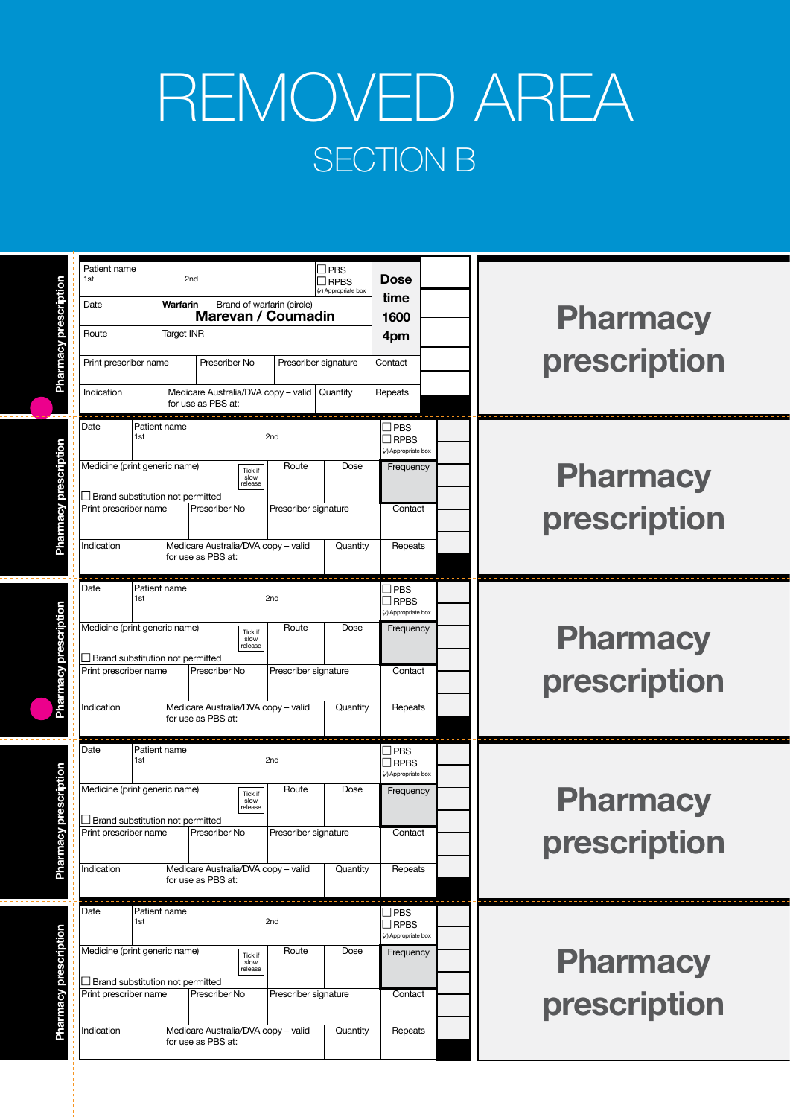### REMOVED AREA SECTION B

| <b>Pharmacy</b><br>prescription | <b>Dose</b><br>time<br>1600<br>4pm<br>Contact<br>Repeats                            | <b>PBS</b><br><b>RPBS</b><br>(v) Appropriate box<br>Prescriber signature<br>Quantity |                                                  | Brand of warfarin (circle)<br>Marevan / Coumadin<br>Prescriber No<br>Medicare Australia/DVA copy - valid<br>for use as PBS at: | 2 <sub>nd</sub><br>Warfarin<br><b>Target INR</b> | 1st<br>Date<br>Route<br>Print prescriber name<br>Indication                                                                    |
|---------------------------------|-------------------------------------------------------------------------------------|--------------------------------------------------------------------------------------|--------------------------------------------------|--------------------------------------------------------------------------------------------------------------------------------|--------------------------------------------------|--------------------------------------------------------------------------------------------------------------------------------|
| <b>Pharmacy</b><br>prescription | $\Box$ PBS<br>$\Box$ RPBS<br>(c) Appropriate box<br>Frequency<br>Contact<br>Repeats | Dose<br>Quantity                                                                     | 2nd<br>Route<br>Prescriber signature             | Tick if<br>slow<br>release<br>Prescriber No<br>Medicare Australia/DVA copy - valid<br>for use as PBS at:                       | Patient name                                     | Date<br>1st<br>Medicine (print generic name)<br>Brand substitution not permitted<br>Print prescriber name<br>Indication        |
| <b>Pharmacy</b><br>prescription | $\Box$ PBS<br><b>TRPBS</b><br>Appropriate box<br>Frequency<br>Contact<br>Repeats    | Dose<br>Quantity                                                                     | 2nd<br>Route<br>Prescriber signature             | Tick if<br>slow<br>release<br>Prescriber No<br>Medicare Australia/DVA copy - valid<br>for use as PBS at:                       | Patient name                                     | Date<br>1st<br>Medicine (print generic name)<br>$\Box$ Brand substitution not permitted<br>Print prescriber name<br>Indication |
| <b>Pharmacy</b><br>prescription | ⊿ PBS<br><b>I</b> RPBS<br>Appropriate box<br>Frequency<br>Contact<br>Repeats        | Dose<br>Quantity                                                                     | 2 <sub>nd</sub><br>Route<br>Prescriber signature | Tick if<br>slow<br>release<br>Prescriber No<br>Medicare Australia/DVA copy - valid<br>for use as PBS at:                       | Patient name                                     | Date<br>1st<br>Medicine (print generic name)<br>$\Box$ Brand substitution not permitted<br>Print prescriber name<br>Indication |
| <b>Pharmacy</b><br>prescription | $\Box$ PBS<br>$\Box$ RPBS<br>Appropriate box<br>Frequency<br>Contact<br>Repeats     | Dose<br>Quantity                                                                     | 2nd<br>Route<br>Prescriber signature             | Tick if<br>slow<br>release<br>Prescriber No<br>Medicare Australia/DVA copy - valid<br>for use as PBS at:                       | Patient name                                     | Date<br>1st<br>Medicine (print generic name)<br>Brand substitution not permitted<br>Print prescriber name<br>Indication        |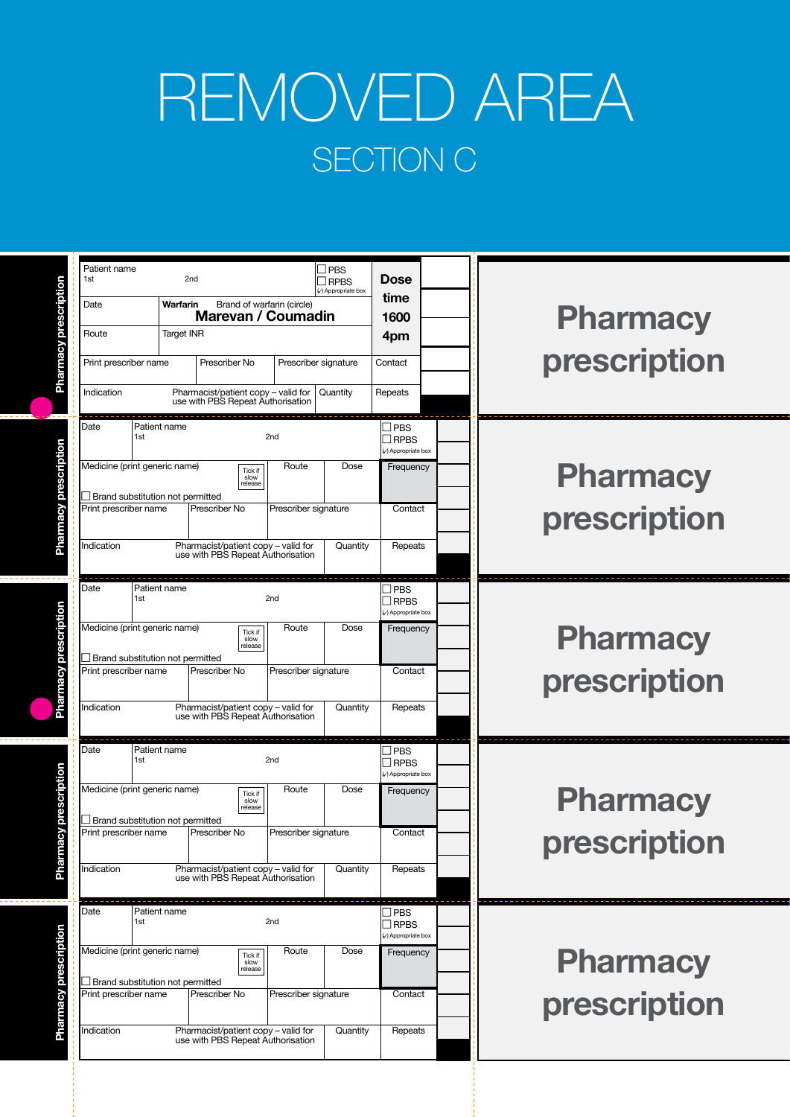### REMOVED AREA SECTION C

| <b>Pharmacy</b><br>prescription | <b>Dose</b><br>time<br>1600<br>4pm<br>Contact<br>Repeats                            | <b>RPBS</b><br>(v) Appropriate box<br>Prescriber signature<br>Quantity | Brand of warfarin (circle)<br>Marevan / Coumadin                                                                                                           | 2 <sub>nd</sub><br>Warfarin<br><b>Target INR</b><br>Prescriber No<br>Pharmacist/patient copy - valid for<br>use with PBS Repeat Authorisation | 1st<br>Date<br>Route<br>Print prescriber name<br>Indication                                                                    |
|---------------------------------|-------------------------------------------------------------------------------------|------------------------------------------------------------------------|------------------------------------------------------------------------------------------------------------------------------------------------------------|-----------------------------------------------------------------------------------------------------------------------------------------------|--------------------------------------------------------------------------------------------------------------------------------|
| <b>Pharmacy</b><br>prescription | $\Box$ PBS<br>$\Box$ RPBS<br>(c) Appropriate box<br>Frequency<br>Contact<br>Repeats | Dose<br>Quantity                                                       | 2nd<br>Route<br>Tick if<br>slow<br>release<br>Prescriber signature<br>use with PBS Repeat Authorisation                                                    | Patient name<br>Brand substitution not permitted<br>Prescriber No<br>Pharmacist/patient copy - valid for                                      | Date<br>1st<br>Medicine (print generic name)<br>Print prescriber name<br>Indication                                            |
| <b>Pharmacy</b><br>prescription | $\Box$ PBS<br>$\Box$ RPBS<br>Appropriate box<br>Frequency<br>Contact<br>Repeats     | Dose<br>Quantity                                                       | 2 <sub>nd</sub><br>Route<br>Tick if<br>slow<br>release<br>Prescriber signature<br>Pharmacist/patient copy - valid for<br>use with PBS Repeat Authorisation | Patient name<br>Prescriber No                                                                                                                 | Date<br>1st<br>Medicine (print generic name)<br>$\Box$ Brand substitution not permitted<br>Print prescriber name<br>Indication |
| <b>Pharmacy</b><br>prescription | ⊿ PBS<br><b>I</b> RPBS<br>Appropriate box<br>Frequency<br>Contact<br>Repeats        | Dose<br>Quantity                                                       | 2 <sub>nd</sub><br>Route<br>Tick if<br>slow<br>release<br>Prescriber signature<br>use with PBS Repeat Authorisation                                        | Patient name<br>Prescriber No<br>Pharmacist/patient copy - valid for                                                                          | Date<br>1st<br>Medicine (print generic name)<br>$\Box$ Brand substitution not permitted<br>Print prescriber name<br>Indication |
| <b>Pharmacy</b><br>prescription | $\Box$ PBS<br>$\Box$ RPBS<br>Appropriate box<br>Frequency<br>Contact<br>Repeats     | Dose<br>Quantity                                                       | 2 <sub>nd</sub><br>Route<br>Tick if<br>slow<br>release<br>Prescriber signature<br>use with PBS Repeat Authorisation                                        | Patient name<br>Brand substitution not permitted<br>Prescriber No<br>Pharmacist/patient copy - valid for                                      | Date<br>1st<br>Medicine (print generic name)<br>Print prescriber name<br>Indication                                            |